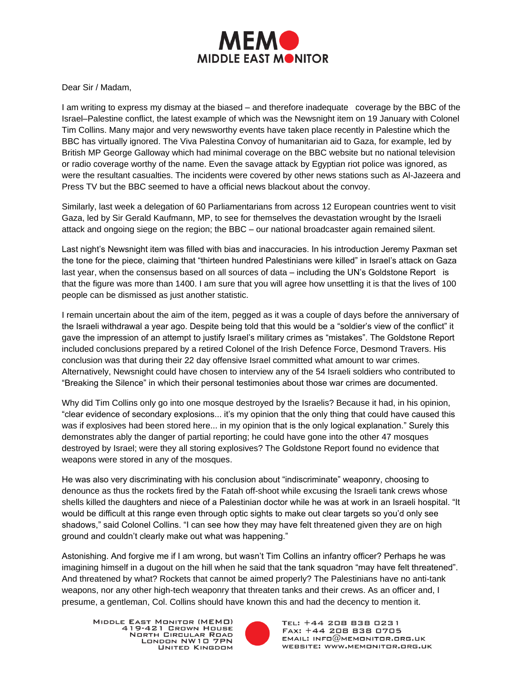

Dear Sir / Madam,

I am writing to express my dismay at the biased – and therefore inadequate coverage by the BBC of the Israel–Palestine conflict, the latest example of which was the Newsnight item on 19 January with Colonel Tim Collins. Many major and very newsworthy events have taken place recently in Palestine which the BBC has virtually ignored. The Viva Palestina Convoy of humanitarian aid to Gaza, for example, led by British MP George Galloway which had minimal coverage on the BBC website but no national television or radio coverage worthy of the name. Even the savage attack by Egyptian riot police was ignored, as were the resultant casualties. The incidents were covered by other news stations such as Al-Jazeera and Press TV but the BBC seemed to have a official news blackout about the convoy.

Similarly, last week a delegation of 60 Parliamentarians from across 12 European countries went to visit Gaza, led by Sir Gerald Kaufmann, MP, to see for themselves the devastation wrought by the Israeli attack and ongoing siege on the region; the BBC – our national broadcaster again remained silent.

Last night's Newsnight item was filled with bias and inaccuracies. In his introduction Jeremy Paxman set the tone for the piece, claiming that "thirteen hundred Palestinians were killed" in Israel's attack on Gaza last year, when the consensus based on all sources of data – including the UN's Goldstone Report is that the figure was more than 1400. I am sure that you will agree how unsettling it is that the lives of 100 people can be dismissed as just another statistic.

I remain uncertain about the aim of the item, pegged as it was a couple of days before the anniversary of the Israeli withdrawal a year ago. Despite being told that this would be a "soldier's view of the conflict" it gave the impression of an attempt to justify Israel's military crimes as "mistakes". The Goldstone Report included conclusions prepared by a retired Colonel of the Irish Defence Force, Desmond Travers. His conclusion was that during their 22 day offensive Israel committed what amount to war crimes. Alternatively, Newsnight could have chosen to interview any of the 54 Israeli soldiers who contributed to "Breaking the Silence" in which their personal testimonies about those war crimes are documented.

Why did Tim Collins only go into one mosque destroyed by the Israelis? Because it had, in his opinion, "clear evidence of secondary explosions... it's my opinion that the only thing that could have caused this was if explosives had been stored here... in my opinion that is the only logical explanation." Surely this demonstrates ably the danger of partial reporting; he could have gone into the other 47 mosques destroyed by Israel; were they all storing explosives? The Goldstone Report found no evidence that weapons were stored in any of the mosques.

He was also very discriminating with his conclusion about "indiscriminate" weaponry, choosing to denounce as thus the rockets fired by the Fatah off-shoot while excusing the Israeli tank crews whose shells killed the daughters and niece of a Palestinian doctor while he was at work in an Israeli hospital. "It would be difficult at this range even through optic sights to make out clear targets so you'd only see shadows," said Colonel Collins. "I can see how they may have felt threatened given they are on high ground and couldn't clearly make out what was happening."

Astonishing. And forgive me if I am wrong, but wasn't Tim Collins an infantry officer? Perhaps he was imagining himself in a dugout on the hill when he said that the tank squadron "may have felt threatened". And threatened by what? Rockets that cannot be aimed properly? The Palestinians have no anti-tank weapons, nor any other high-tech weaponry that threaten tanks and their crews. As an officer and, I presume, a gentleman, Col. Collins should have known this and had the decency to mention it.



TEL: +44 208 838 0231 FAX: +44 208 838 0705  $EMAIL: INFO@MEMONITOR.BRS.UK$ WEBSITE: WWW.MEMONITOR.ORG.UK